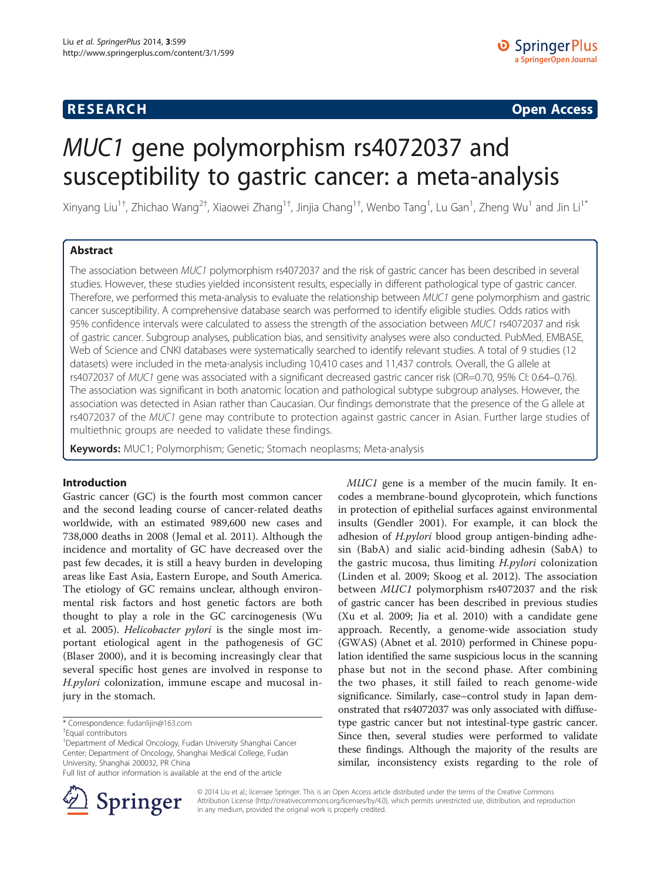# **RESEARCH CHE Open Access**

# MUC1 gene polymorphism rs4072037 and susceptibility to gastric cancer: a meta-analysis

Xinyang Liu<sup>1†</sup>, Zhichao Wang<sup>2†</sup>, Xiaowei Zhang<sup>1†</sup>, Jinjia Chang<sup>1†</sup>, Wenbo Tang<sup>1</sup>, Lu Gan<sup>1</sup>, Zheng Wu<sup>1</sup> and Jin Li<sup>1\*</sup>

# Abstract

The association between MUC1 polymorphism rs4072037 and the risk of gastric cancer has been described in several studies. However, these studies yielded inconsistent results, especially in different pathological type of gastric cancer. Therefore, we performed this meta-analysis to evaluate the relationship between MUC1 gene polymorphism and gastric cancer susceptibility. A comprehensive database search was performed to identify eligible studies. Odds ratios with 95% confidence intervals were calculated to assess the strength of the association between MUC1 rs4072037 and risk of gastric cancer. Subgroup analyses, publication bias, and sensitivity analyses were also conducted. PubMed, EMBASE, Web of Science and CNKI databases were systematically searched to identify relevant studies. A total of 9 studies (12 datasets) were included in the meta-analysis including 10,410 cases and 11,437 controls. Overall, the G allele at rs4072037 of MUC1 gene was associated with a significant decreased gastric cancer risk (OR=0.70, 95% CI: 0.64–0.76). The association was significant in both anatomic location and pathological subtype subgroup analyses. However, the association was detected in Asian rather than Caucasian. Our findings demonstrate that the presence of the G allele at rs4072037 of the MUC1 gene may contribute to protection against gastric cancer in Asian. Further large studies of multiethnic groups are needed to validate these findings.

Keywords: MUC1; Polymorphism; Genetic; Stomach neoplasms; Meta-analysis

#### Introduction

Gastric cancer (GC) is the fourth most common cancer and the second leading course of cancer-related deaths worldwide, with an estimated 989,600 new cases and 738,000 deaths in 2008 (Jemal et al. [2011](#page-6-0)). Although the incidence and mortality of GC have decreased over the past few decades, it is still a heavy burden in developing areas like East Asia, Eastern Europe, and South America. The etiology of GC remains unclear, although environmental risk factors and host genetic factors are both thought to play a role in the GC carcinogenesis (Wu et al. [2005](#page-7-0)). Helicobacter pylori is the single most important etiological agent in the pathogenesis of GC (Blaser [2000](#page-6-0)), and it is becoming increasingly clear that several specific host genes are involved in response to H.pylori colonization, immune escape and mucosal injury in the stomach.

Full list of author information is available at the end of the article



codes a membrane-bound glycoprotein, which functions in protection of epithelial surfaces against environmental insults (Gendler [2001](#page-6-0)). For example, it can block the adhesion of *H.pylori* blood group antigen-binding adhesin (BabA) and sialic acid-binding adhesin (SabA) to the gastric mucosa, thus limiting H.pylori colonization (Linden et al. [2009;](#page-6-0) Skoog et al. [2012\)](#page-6-0). The association between MUC1 polymorphism rs4072037 and the risk of gastric cancer has been described in previous studies (Xu et al. [2009;](#page-7-0) Jia et al. [2010\)](#page-6-0) with a candidate gene approach. Recently, a genome-wide association study (GWAS) (Abnet et al. [2010](#page-6-0)) performed in Chinese population identified the same suspicious locus in the scanning phase but not in the second phase. After combining the two phases, it still failed to reach genome-wide significance. Similarly, case–control study in Japan demonstrated that rs4072037 was only associated with diffusetype gastric cancer but not intestinal-type gastric cancer. Since then, several studies were performed to validate these findings. Although the majority of the results are similar, inconsistency exists regarding to the role of

MUC1 gene is a member of the mucin family. It en-

© 2014 Liu et al.; licensee Springer. This is an Open Access article distributed under the terms of the Creative Commons Attribution License [\(http://creativecommons.org/licenses/by/4.0\)](http://creativecommons.org/licenses/by/4.0), which permits unrestricted use, distribution, and reproduction in any medium, provided the original work is properly credited.

<sup>\*</sup> Correspondence: [fudanlijin@163.com](mailto:fudanlijin@163.com) †

Equal contributors

<sup>&</sup>lt;sup>1</sup>Department of Medical Oncology, Fudan University Shanghai Cancer Center; Department of Oncology, Shanghai Medical College, Fudan University, Shanghai 200032, PR China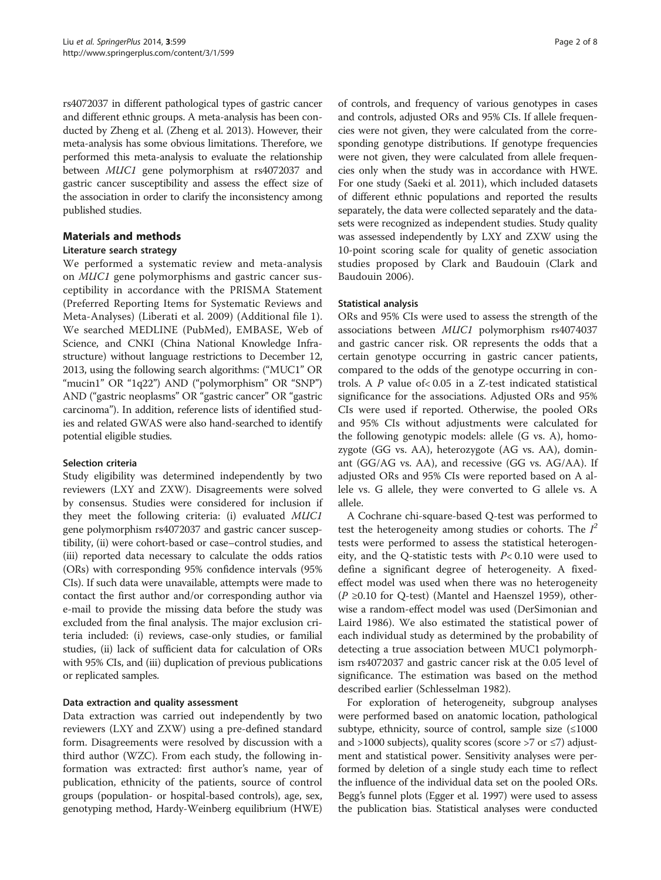rs4072037 in different pathological types of gastric cancer and different ethnic groups. A meta-analysis has been conducted by Zheng et al. (Zheng et al. [2013](#page-7-0)). However, their meta-analysis has some obvious limitations. Therefore, we performed this meta-analysis to evaluate the relationship between MUC1 gene polymorphism at rs4072037 and gastric cancer susceptibility and assess the effect size of the association in order to clarify the inconsistency among published studies.

# Materials and methods

# Literature search strategy

We performed a systematic review and meta-analysis on MUC1 gene polymorphisms and gastric cancer susceptibility in accordance with the PRISMA Statement (Preferred Reporting Items for Systematic Reviews and Meta-Analyses) (Liberati et al. [2009](#page-6-0)) (Additional file [1](#page-6-0)). We searched MEDLINE (PubMed), EMBASE, Web of Science, and CNKI (China National Knowledge Infrastructure) without language restrictions to December 12, 2013, using the following search algorithms: ("MUC1" OR "mucin1" OR "1q22") AND ("polymorphism" OR "SNP") AND ("gastric neoplasms" OR "gastric cancer" OR "gastric carcinoma"). In addition, reference lists of identified studies and related GWAS were also hand-searched to identify potential eligible studies.

# Selection criteria

Study eligibility was determined independently by two reviewers (LXY and ZXW). Disagreements were solved by consensus. Studies were considered for inclusion if they meet the following criteria: (i) evaluated MUC1 gene polymorphism rs4072037 and gastric cancer susceptibility, (ii) were cohort-based or case–control studies, and (iii) reported data necessary to calculate the odds ratios (ORs) with corresponding 95% confidence intervals (95% CIs). If such data were unavailable, attempts were made to contact the first author and/or corresponding author via e-mail to provide the missing data before the study was excluded from the final analysis. The major exclusion criteria included: (i) reviews, case-only studies, or familial studies, (ii) lack of sufficient data for calculation of ORs with 95% CIs, and (iii) duplication of previous publications or replicated samples.

# Data extraction and quality assessment

Data extraction was carried out independently by two reviewers (LXY and ZXW) using a pre-defined standard form. Disagreements were resolved by discussion with a third author (WZC). From each study, the following information was extracted: first author's name, year of publication, ethnicity of the patients, source of control groups (population- or hospital-based controls), age, sex, genotyping method, Hardy-Weinberg equilibrium (HWE)

of controls, and frequency of various genotypes in cases and controls, adjusted ORs and 95% CIs. If allele frequencies were not given, they were calculated from the corresponding genotype distributions. If genotype frequencies were not given, they were calculated from allele frequencies only when the study was in accordance with HWE. For one study (Saeki et al. [2011](#page-6-0)), which included datasets of different ethnic populations and reported the results separately, the data were collected separately and the datasets were recognized as independent studies. Study quality was assessed independently by LXY and ZXW using the 10-point scoring scale for quality of genetic association studies proposed by Clark and Baudouin (Clark and Baudouin [2006\)](#page-6-0).

## Statistical analysis

ORs and 95% CIs were used to assess the strength of the associations between MUC1 polymorphism rs4074037 and gastric cancer risk. OR represents the odds that a certain genotype occurring in gastric cancer patients, compared to the odds of the genotype occurring in controls. A P value of< 0.05 in a Z-test indicated statistical significance for the associations. Adjusted ORs and 95% CIs were used if reported. Otherwise, the pooled ORs and 95% CIs without adjustments were calculated for the following genotypic models: allele (G vs. A), homozygote (GG vs. AA), heterozygote (AG vs. AA), dominant (GG/AG vs. AA), and recessive (GG vs. AG/AA). If adjusted ORs and 95% CIs were reported based on A allele vs. G allele, they were converted to G allele vs. A allele.

A Cochrane chi-square-based Q-test was performed to test the heterogeneity among studies or cohorts. The  $I^2$ tests were performed to assess the statistical heterogeneity, and the Q-statistic tests with P< 0.10 were used to define a significant degree of heterogeneity. A fixedeffect model was used when there was no heterogeneity  $(P ≥ 0.10$  for Q-test) (Mantel and Haenszel [1959\)](#page-6-0), otherwise a random-effect model was used (DerSimonian and Laird [1986](#page-6-0)). We also estimated the statistical power of each individual study as determined by the probability of detecting a true association between MUC1 polymorphism rs4072037 and gastric cancer risk at the 0.05 level of significance. The estimation was based on the method described earlier (Schlesselman [1982](#page-6-0)).

For exploration of heterogeneity, subgroup analyses were performed based on anatomic location, pathological subtype, ethnicity, source of control, sample size  $( \leq 1000$ and >1000 subjects), quality scores (score >7 or  $\le$ 7) adjustment and statistical power. Sensitivity analyses were performed by deletion of a single study each time to reflect the influence of the individual data set on the pooled ORs. Begg's funnel plots (Egger et al. [1997\)](#page-6-0) were used to assess the publication bias. Statistical analyses were conducted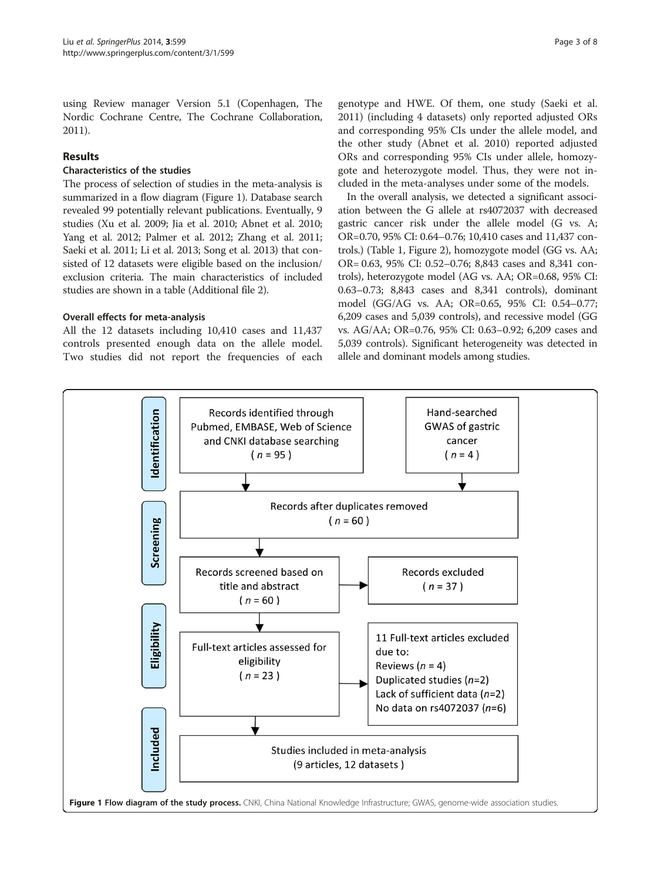using Review manager Version 5.1 (Copenhagen, The Nordic Cochrane Centre, The Cochrane Collaboration, 2011).

# Results

# Characteristics of the studies

The process of selection of studies in the meta-analysis is summarized in a flow diagram (Figure 1). Database search revealed 99 potentially relevant publications. Eventually, 9 studies (Xu et al. [2009](#page-7-0); Jia et al. [2010;](#page-6-0) Abnet et al. [2010](#page-6-0); Yang et al. [2012;](#page-7-0) Palmer et al. [2012;](#page-6-0) Zhang et al. [2011](#page-7-0); Saeki et al. [2011;](#page-6-0) Li et al. [2013;](#page-6-0) Song et al. [2013\)](#page-6-0) that consisted of 12 datasets were eligible based on the inclusion/ exclusion criteria. The main characteristics of included studies are shown in a table (Additional file [2](#page-6-0)).

## Overall effects for meta-analysis

All the 12 datasets including 10,410 cases and 11,437 controls presented enough data on the allele model. Two studies did not report the frequencies of each

genotype and HWE. Of them, one study (Saeki et al. [2011](#page-6-0)) (including 4 datasets) only reported adjusted ORs and corresponding 95% CIs under the allele model, and the other study (Abnet et al. [2010](#page-6-0)) reported adjusted ORs and corresponding 95% CIs under allele, homozygote and heterozygote model. Thus, they were not included in the meta-analyses under some of the models.

In the overall analysis, we detected a significant association between the G allele at rs4072037 with decreased gastric cancer risk under the allele model (G vs. A; OR=0.70, 95% CI: 0.64–0.76; 10,410 cases and 11,437 controls.) (Table [1](#page-3-0), Figure [2](#page-3-0)), homozygote model (GG vs. AA; OR= 0.63, 95% CI: 0.52–0.76; 8,843 cases and 8,341 controls), heterozygote model (AG vs. AA; OR=0.68, 95% CI: 0.63–0.73; 8,843 cases and 8,341 controls), dominant model (GG/AG vs. AA; OR=0.65, 95% CI: 0.54–0.77; 6,209 cases and 5,039 controls), and recessive model (GG vs. AG/AA; OR=0.76, 95% CI: 0.63–0.92; 6,209 cases and 5,039 controls). Significant heterogeneity was detected in allele and dominant models among studies.

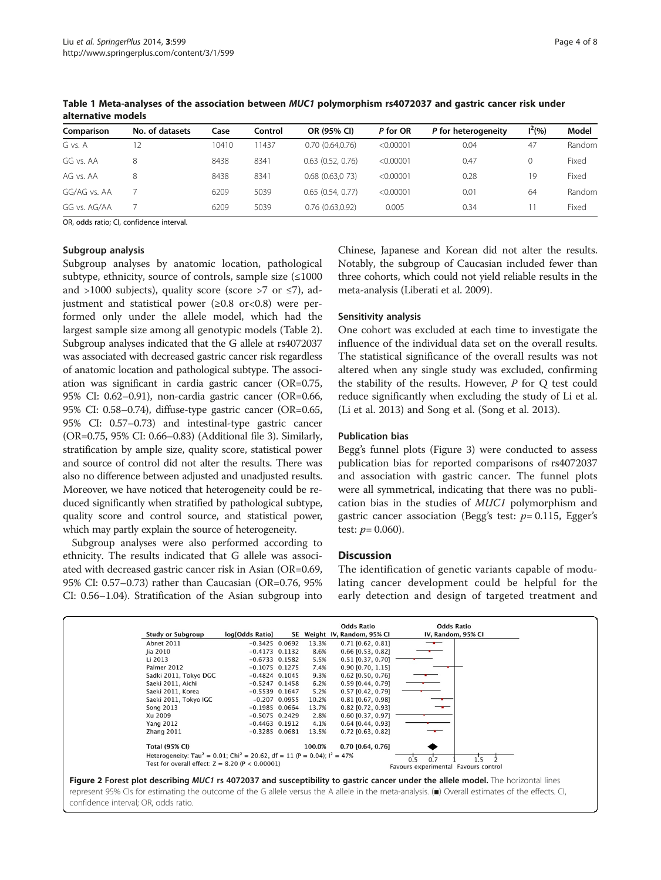| Comparison   | No. of datasets | Case  | Control | OR (95% CI)           | P for OR  | P for heterogeneity | $1^2(%)$ | Model  |
|--------------|-----------------|-------|---------|-----------------------|-----------|---------------------|----------|--------|
| G vs. A      | 12              | 10410 | 11437   | 0.70(0.64.0.76)       | < 0.00001 | 0.04                | 47       | Random |
| GG vs. AA    | 8               | 8438  | 8341    | $0.63$ $(0.52, 0.76)$ | < 0.00001 | 0.47                | $\Omega$ | Fixed  |
| AG vs. AA    | 8               | 8438  | 8341    | $0.68$ $(0.63.073)$   | < 0.00001 | 0.28                | 19       | Fixed  |
| GG/AG vs. AA |                 | 6209  | 5039    | 0.65(0.54, 0.77)      | < 0.00001 | 0.01                | 64       | Random |
| GG vs. AG/AA |                 | 6209  | 5039    | 0.76(0.63,0.92)       | 0.005     | 0.34                |          | Fixed  |

<span id="page-3-0"></span>Table 1 Meta-analyses of the association between MUC1 polymorphism rs4072037 and gastric cancer risk under alternative models

OR, odds ratio; CI, confidence interval.

#### Subgroup analysis

Subgroup analyses by anatomic location, pathological subtype, ethnicity, source of controls, sample size  $(\leq 1000$ and >1000 subjects), quality score (score >7 or  $\leq$ 7), adjustment and statistical power  $(\geq 0.8 \text{ or} < 0.8)$  were performed only under the allele model, which had the largest sample size among all genotypic models (Table [2](#page-4-0)). Subgroup analyses indicated that the G allele at rs4072037 was associated with decreased gastric cancer risk regardless of anatomic location and pathological subtype. The association was significant in cardia gastric cancer (OR=0.75, 95% CI: 0.62–0.91), non-cardia gastric cancer (OR=0.66, 95% CI: 0.58–0.74), diffuse-type gastric cancer (OR=0.65, 95% CI: 0.57–0.73) and intestinal-type gastric cancer (OR=0.75, 95% CI: 0.66–0.83) (Additional file [3\)](#page-6-0). Similarly, stratification by ample size, quality score, statistical power and source of control did not alter the results. There was also no difference between adjusted and unadjusted results. Moreover, we have noticed that heterogeneity could be reduced significantly when stratified by pathological subtype, quality score and control source, and statistical power, which may partly explain the source of heterogeneity.

Subgroup analyses were also performed according to ethnicity. The results indicated that G allele was associated with decreased gastric cancer risk in Asian (OR=0.69, 95% CI: 0.57–0.73) rather than Caucasian (OR=0.76, 95% CI: 0.56–1.04). Stratification of the Asian subgroup into Chinese, Japanese and Korean did not alter the results. Notably, the subgroup of Caucasian included fewer than three cohorts, which could not yield reliable results in the meta-analysis (Liberati et al. [2009](#page-6-0)).

#### Sensitivity analysis

One cohort was excluded at each time to investigate the influence of the individual data set on the overall results. The statistical significance of the overall results was not altered when any single study was excluded, confirming the stability of the results. However, P for Q test could reduce significantly when excluding the study of Li et al. (Li et al. [2013](#page-6-0)) and Song et al. (Song et al. [2013](#page-6-0)).

#### Publication bias

Begg's funnel plots (Figure [3](#page-5-0)) were conducted to assess publication bias for reported comparisons of rs4072037 and association with gastric cancer. The funnel plots were all symmetrical, indicating that there was no publication bias in the studies of MUC1 polymorphism and gastric cancer association (Begg's test:  $p=0.115$ , Egger's test:  $p = 0.060$ ).

#### **Discussion**

The identification of genetic variants capable of modulating cancer development could be helpful for the early detection and design of targeted treatment and

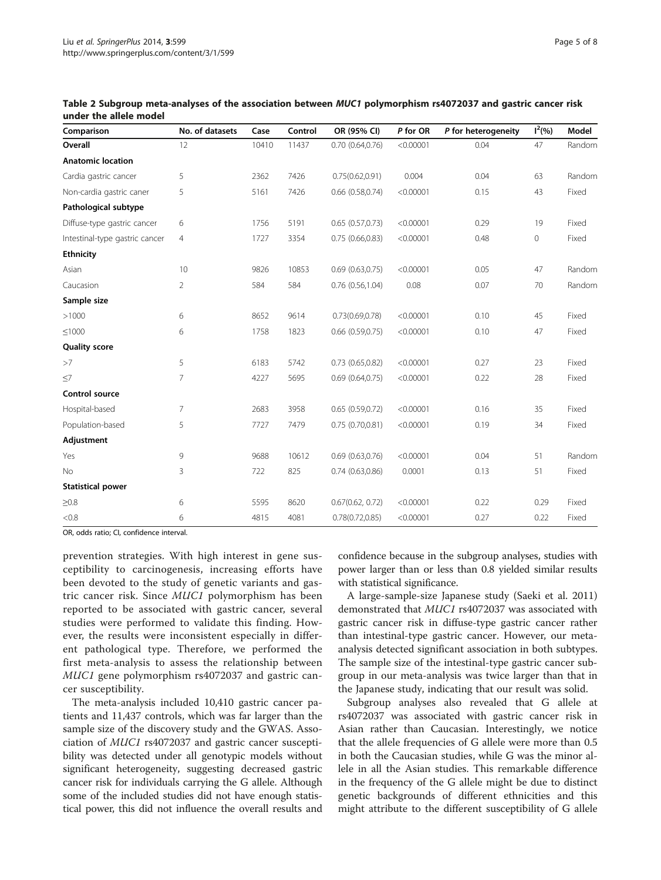| Comparison                     | No. of datasets | Case  | Control | OR (95% CI)           | P for OR  | P for heterogeneity | $I^2(% )$ | Model  |
|--------------------------------|-----------------|-------|---------|-----------------------|-----------|---------------------|-----------|--------|
| Overall                        | 12              | 10410 | 11437   | $0.70$ $(0.64, 0.76)$ | < 0.00001 | 0.04                | 47        | Random |
| <b>Anatomic location</b>       |                 |       |         |                       |           |                     |           |        |
| Cardia gastric cancer          | 5               | 2362  | 7426    | 0.75(0.62, 0.91)      | 0.004     | 0.04                | 63        | Random |
| Non-cardia gastric caner       | 5               | 5161  | 7426    | $0.66$ $(0.58, 0.74)$ | < 0.00001 | 0.15                | 43        | Fixed  |
| Pathological subtype           |                 |       |         |                       |           |                     |           |        |
| Diffuse-type gastric cancer    | 6               | 1756  | 5191    | 0.65(0.57,0.73)       | < 0.00001 | 0.29                | 19        | Fixed  |
| Intestinal-type gastric cancer | 4               | 1727  | 3354    | 0.75(0.66, 0.83)      | < 0.00001 | 0.48                | 0         | Fixed  |
| <b>Ethnicity</b>               |                 |       |         |                       |           |                     |           |        |
| Asian                          | 10              | 9826  | 10853   | 0.69(0.63,0.75)       | < 0.00001 | 0.05                | 47        | Random |
| Caucasion                      | 2               | 584   | 584     | $0.76$ $(0.56, 1.04)$ | 0.08      | 0.07                | 70        | Random |
| Sample size                    |                 |       |         |                       |           |                     |           |        |
| >1000                          | 6               | 8652  | 9614    | 0.73(0.69, 0.78)      | < 0.00001 | 0.10                | 45        | Fixed  |
| ≤1000                          | 6               | 1758  | 1823    | $0.66$ $(0.59, 0.75)$ | < 0.00001 | 0.10                | 47        | Fixed  |
| <b>Quality score</b>           |                 |       |         |                       |           |                     |           |        |
| >7                             | 5               | 6183  | 5742    | $0.73$ $(0.65, 0.82)$ | < 0.00001 | 0.27                | 23        | Fixed  |
| $\leq$ 7                       | 7               | 4227  | 5695    | $0.69$ $(0.64, 0.75)$ | < 0.00001 | 0.22                | 28        | Fixed  |
| Control source                 |                 |       |         |                       |           |                     |           |        |
| Hospital-based                 | 7               | 2683  | 3958    | 0.65(0.59,0.72)       | < 0.00001 | 0.16                | 35        | Fixed  |
| Population-based               | 5               | 7727  | 7479    | 0.75(0.70, 0.81)      | < 0.00001 | 0.19                | 34        | Fixed  |
| Adjustment                     |                 |       |         |                       |           |                     |           |        |
| Yes                            | 9               | 9688  | 10612   | $0.69$ $(0.63, 0.76)$ | < 0.00001 | 0.04                | 51        | Random |
| No                             | 3               | 722   | 825     | 0.74(0.63,0.86)       | 0.0001    | 0.13                | 51        | Fixed  |
| <b>Statistical power</b>       |                 |       |         |                       |           |                     |           |        |
| $\geq 0.8$                     | 6               | 5595  | 8620    | 0.67(0.62, 0.72)      | < 0.00001 | 0.22                | 0.29      | Fixed  |
| < 0.8                          | 6               | 4815  | 4081    | 0.78(0.72, 0.85)      | < 0.00001 | 0.27                | 0.22      | Fixed  |

<span id="page-4-0"></span>Table 2 Subgroup meta-analyses of the association between MUC1 polymorphism rs4072037 and gastric cancer risk under the allele model

OR, odds ratio; CI, confidence interval.

prevention strategies. With high interest in gene susceptibility to carcinogenesis, increasing efforts have been devoted to the study of genetic variants and gastric cancer risk. Since MUC1 polymorphism has been reported to be associated with gastric cancer, several studies were performed to validate this finding. However, the results were inconsistent especially in different pathological type. Therefore, we performed the first meta-analysis to assess the relationship between MUC1 gene polymorphism rs4072037 and gastric cancer susceptibility.

The meta-analysis included 10,410 gastric cancer patients and 11,437 controls, which was far larger than the sample size of the discovery study and the GWAS. Association of MUC1 rs4072037 and gastric cancer susceptibility was detected under all genotypic models without significant heterogeneity, suggesting decreased gastric cancer risk for individuals carrying the G allele. Although some of the included studies did not have enough statistical power, this did not influence the overall results and

confidence because in the subgroup analyses, studies with power larger than or less than 0.8 yielded similar results with statistical significance.

A large-sample-size Japanese study (Saeki et al. [2011](#page-6-0)) demonstrated that MUC1 rs4072037 was associated with gastric cancer risk in diffuse-type gastric cancer rather than intestinal-type gastric cancer. However, our metaanalysis detected significant association in both subtypes. The sample size of the intestinal-type gastric cancer subgroup in our meta-analysis was twice larger than that in the Japanese study, indicating that our result was solid.

Subgroup analyses also revealed that G allele at rs4072037 was associated with gastric cancer risk in Asian rather than Caucasian. Interestingly, we notice that the allele frequencies of G allele were more than 0.5 in both the Caucasian studies, while G was the minor allele in all the Asian studies. This remarkable difference in the frequency of the G allele might be due to distinct genetic backgrounds of different ethnicities and this might attribute to the different susceptibility of G allele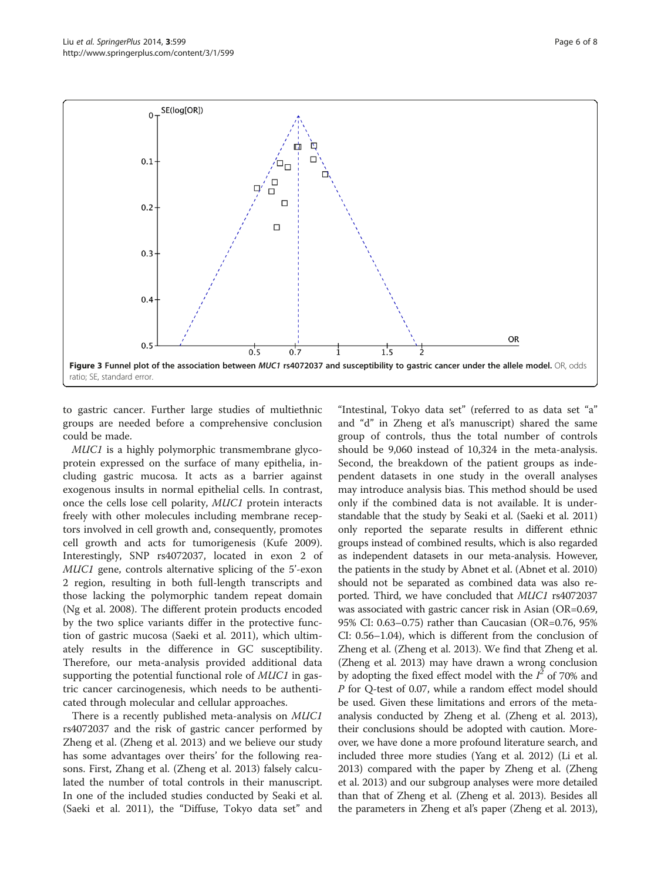<span id="page-5-0"></span>

to gastric cancer. Further large studies of multiethnic groups are needed before a comprehensive conclusion could be made.

MUC1 is a highly polymorphic transmembrane glycoprotein expressed on the surface of many epithelia, including gastric mucosa. It acts as a barrier against exogenous insults in normal epithelial cells. In contrast, once the cells lose cell polarity, MUC1 protein interacts freely with other molecules including membrane receptors involved in cell growth and, consequently, promotes cell growth and acts for tumorigenesis (Kufe [2009](#page-6-0)). Interestingly, SNP rs4072037, located in exon 2 of MUC1 gene, controls alternative splicing of the 5'-exon 2 region, resulting in both full-length transcripts and those lacking the polymorphic tandem repeat domain (Ng et al. [2008](#page-6-0)). The different protein products encoded by the two splice variants differ in the protective function of gastric mucosa (Saeki et al. [2011](#page-6-0)), which ultimately results in the difference in GC susceptibility. Therefore, our meta-analysis provided additional data supporting the potential functional role of MUC1 in gastric cancer carcinogenesis, which needs to be authenticated through molecular and cellular approaches.

There is a recently published meta-analysis on MUC1 rs4072037 and the risk of gastric cancer performed by Zheng et al. (Zheng et al. [2013](#page-7-0)) and we believe our study has some advantages over theirs' for the following reasons. First, Zhang et al. (Zheng et al. [2013](#page-7-0)) falsely calculated the number of total controls in their manuscript. In one of the included studies conducted by Seaki et al. (Saeki et al. [2011](#page-6-0)), the "Diffuse, Tokyo data set" and

"Intestinal, Tokyo data set" (referred to as data set "a" and "d" in Zheng et al's manuscript) shared the same group of controls, thus the total number of controls should be 9,060 instead of 10,324 in the meta-analysis. Second, the breakdown of the patient groups as independent datasets in one study in the overall analyses may introduce analysis bias. This method should be used only if the combined data is not available. It is understandable that the study by Seaki et al. (Saeki et al. [2011](#page-6-0)) only reported the separate results in different ethnic groups instead of combined results, which is also regarded as independent datasets in our meta-analysis. However, the patients in the study by Abnet et al. (Abnet et al. [2010](#page-6-0)) should not be separated as combined data was also reported. Third, we have concluded that MUC1 rs4072037 was associated with gastric cancer risk in Asian (OR=0.69, 95% CI: 0.63–0.75) rather than Caucasian (OR=0.76, 95% CI: 0.56–1.04), which is different from the conclusion of Zheng et al. (Zheng et al. [2013](#page-7-0)). We find that Zheng et al. (Zheng et al. [2013](#page-7-0)) may have drawn a wrong conclusion by adopting the fixed effect model with the  $I^2$  of 70% and P for Q-test of 0.07, while a random effect model should be used. Given these limitations and errors of the metaanalysis conducted by Zheng et al. (Zheng et al. [2013](#page-7-0)), their conclusions should be adopted with caution. Moreover, we have done a more profound literature search, and included three more studies (Yang et al. [2012\)](#page-7-0) (Li et al. [2013](#page-6-0)) compared with the paper by Zheng et al. (Zheng et al. [2013\)](#page-7-0) and our subgroup analyses were more detailed than that of Zheng et al. (Zheng et al. [2013](#page-7-0)). Besides all the parameters in Zheng et al's paper (Zheng et al. [2013](#page-7-0)),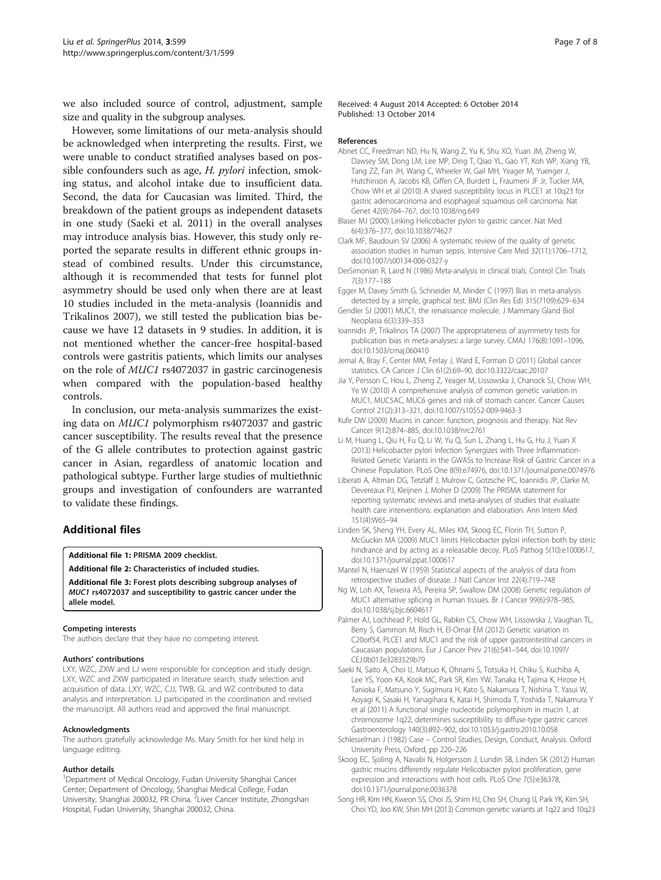<span id="page-6-0"></span>we also included source of control, adjustment, sample size and quality in the subgroup analyses.

However, some limitations of our meta-analysis should be acknowledged when interpreting the results. First, we were unable to conduct stratified analyses based on possible confounders such as age, *H. pylori* infection, smoking status, and alcohol intake due to insufficient data. Second, the data for Caucasian was limited. Third, the breakdown of the patient groups as independent datasets in one study (Saeki et al. 2011) in the overall analyses may introduce analysis bias. However, this study only reported the separate results in different ethnic groups instead of combined results. Under this circumstance, although it is recommended that tests for funnel plot asymmetry should be used only when there are at least 10 studies included in the meta-analysis (Ioannidis and Trikalinos 2007), we still tested the publication bias because we have 12 datasets in 9 studies. In addition, it is not mentioned whether the cancer-free hospital-based controls were gastritis patients, which limits our analyses on the role of MUC1 rs4072037 in gastric carcinogenesis when compared with the population-based healthy controls.

In conclusion, our meta-analysis summarizes the existing data on MUC1 polymorphism rs4072037 and gastric cancer susceptibility. The results reveal that the presence of the G allele contributes to protection against gastric cancer in Asian, regardless of anatomic location and pathological subtype. Further large studies of multiethnic groups and investigation of confounders are warranted to validate these findings.

# Additional files

#### [Additional file 1:](http://www.biomedcentral.com/content/supplementary/2193-1801-3-599-S1.doc) PRISMA 2009 checklist.

[Additional file 2:](http://www.biomedcentral.com/content/supplementary/2193-1801-3-599-S2.doc) Characteristics of included studies.

[Additional file 3:](http://www.biomedcentral.com/content/supplementary/2193-1801-3-599-S3.doc) Forest plots describing subgroup analyses of MUC1 rs4072037 and susceptibility to gastric cancer under the allele model.

#### Competing interests

The authors declare that they have no competing interest.

#### Authors' contributions

LXY, WZC, ZXW and LJ were responsible for conception and study design. LXY, WZC and ZXW participated in literature search, study selection and acquisition of data. LXY, WZC, CJJ, TWB, GL and WZ contributed to data analysis and interpretation. LJ participated in the coordination and revised the manuscript. All authors read and approved the final manuscript.

#### Acknowledgments

The authors gratefully acknowledge Ms. Mary Smith for her kind help in language editing.

#### Author details

<sup>1</sup>Department of Medical Oncology, Fudan University Shanghai Cancer Center; Department of Oncology, Shanghai Medical College, Fudan University, Shanghai 200032, PR China. <sup>2</sup> Liver Cancer Institute, Zhongshan Hospital, Fudan University, Shanghai 200032, China.

Received: 4 August 2014 Accepted: 6 October 2014 Published: 13 October 2014

#### References

- Abnet CC, Freedman ND, Hu N, Wang Z, Yu K, Shu XO, Yuan JM, Zheng W, Dawsey SM, Dong LM, Lee MP, Ding T, Qiao YL, Gao YT, Koh WP, Xiang YB, Tang ZZ, Fan JH, Wang C, Wheeler W, Gail MH, Yeager M, Yuenger J, Hutchinson A, Jacobs KB, Giffen CA, Burdett L, Fraumeni JF Jr, Tucker MA, Chow WH et al (2010) A shared susceptibility locus in PLCE1 at 10q23 for gastric adenocarcinoma and esophageal squamous cell carcinoma. Nat Genet 42(9):764–767, doi:10.1038/ng.649
- Blaser MJ (2000) Linking Helicobacter pylori to gastric cancer. Nat Med 6(4):376–377, doi:10.1038/74627
- Clark MF, Baudouin SV (2006) A systematic review of the quality of genetic association studies in human sepsis. Intensive Care Med 32(11):1706–1712, doi:10.1007/s00134-006-0327-y
- DerSimonian R, Laird N (1986) Meta-analysis in clinical trials. Control Clin Trials 7(3):177–188
- Egger M, Davey Smith G, Schneider M, Minder C (1997) Bias in meta-analysis detected by a simple, graphical test. BMJ (Clin Res Ed) 315(7109):629–634
- Gendler SJ (2001) MUC1, the renaissance molecule. J Mammary Gland Biol Neoplasia 6(3):339–353
- Ioannidis JP, Trikalinos TA (2007) The appropriateness of asymmetry tests for publication bias in meta-analyses: a large survey. CMAJ 176(8):1091–1096, doi:10.1503/cmaj.060410
- Jemal A, Bray F, Center MM, Ferlay J, Ward E, Forman D (2011) Global cancer statistics. CA Cancer J Clin 61(2):69–90, doi:10.3322/caac.20107
- Jia Y, Persson C, Hou L, Zheng Z, Yeager M, Lissowska J, Chanock SJ, Chow WH, Ye W (2010) A comprehensive analysis of common genetic variation in MUC1, MUC5AC, MUC6 genes and risk of stomach cancer. Cancer Causes Control 21(2):313–321, doi:10.1007/s10552-009-9463-3
- Kufe DW (2009) Mucins in cancer: function, prognosis and therapy. Nat Rev Cancer 9(12):874–885, doi:10.1038/nrc2761
- Li M, Huang L, Qiu H, Fu Q, Li W, Yu Q, Sun L, Zhang L, Hu G, Hu J, Yuan X (2013) Helicobacter pylori Infection Synergizes with Three Inflammation-Related Genetic Variants in the GWASs to Increase Risk of Gastric Cancer in a Chinese Population. PLoS One 8(9):e74976, doi:10.1371/journal.pone.0074976
- Liberati A, Altman DG, Tetzlaff J, Mulrow C, Gotzsche PC, Ioannidis JP, Clarke M, Devereaux PJ, Kleijnen J, Moher D (2009) The PRISMA statement for reporting systematic reviews and meta-analyses of studies that evaluate health care interventions: explanation and elaboration. Ann Intern Med 151(4):W65–94
- Linden SK, Sheng YH, Every AL, Miles KM, Skoog EC, Florin TH, Sutton P, McGuckin MA (2009) MUC1 limits Helicobacter pylori infection both by steric hindrance and by acting as a releasable decoy. PLoS Pathog 5(10):e1000617, doi:10.1371/journal.ppat.1000617
- Mantel N, Haenszel W (1959) Statistical aspects of the analysis of data from retrospective studies of disease. J Natl Cancer Inst 22(4):719–748
- Ng W, Loh AX, Teixeira AS, Pereira SP, Swallow DM (2008) Genetic regulation of MUC1 alternative splicing in human tissues. Br J Cancer 99(6):978–985, doi:10.1038/sj.bjc.6604617
- Palmer AJ, Lochhead P, Hold GL, Rabkin CS, Chow WH, Lissowska J, Vaughan TL, Berry S, Gammon M, Risch H, El-Omar EM (2012) Genetic variation in C20orf54, PLCE1 and MUC1 and the risk of upper gastrointestinal cancers in Caucasian populations. Eur J Cancer Prev 21(6):541–544, doi:10.1097/ CEJ.0b013e3283529b79
- Saeki N, Saito A, Choi IJ, Matsuo K, Ohnami S, Totsuka H, Chiku S, Kuchiba A, Lee YS, Yoon KA, Kook MC, Park SR, Kim YW, Tanaka H, Tajima K, Hirose H, Tanioka F, Matsuno Y, Sugimura H, Kato S, Nakamura T, Nishina T, Yasui W, Aoyagi K, Sasaki H, Yanagihara K, Katai H, Shimoda T, Yoshida T, Nakamura Y et al (2011) A functional single nucleotide polymorphism in mucin 1, at chromosome 1q22, determines susceptibility to diffuse-type gastric cancer. Gastroenterology 140(3):892–902, doi:10.1053/j.gastro.2010.10.058
- Schlesselman J (1982) Case Control Studies, Design, Conduct, Analysis. Oxford University Press, Oxford, pp 220–226
- Skoog EC, Sjoling A, Navabi N, Holgersson J, Lundin SB, Linden SK (2012) Human gastric mucins differently regulate Helicobacter pylori proliferation, gene expression and interactions with host cells. PLoS One 7(5):e36378, doi:10.1371/journal.pone.0036378
- Song HR, Kim HN, Kweon SS, Choi JS, Shim HJ, Cho SH, Chung IJ, Park YK, Kim SH, Choi YD, Joo KW, Shin MH (2013) Common genetic variants at 1q22 and 10q23